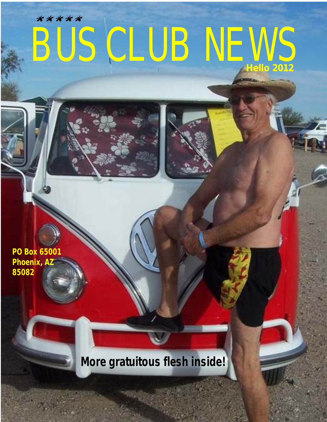# BUS CLUB NEWS **Hello 2012** kkkkk

**PO Box 65001 Phoenix, AZ 85082**

*More gratuitous flesh inside!*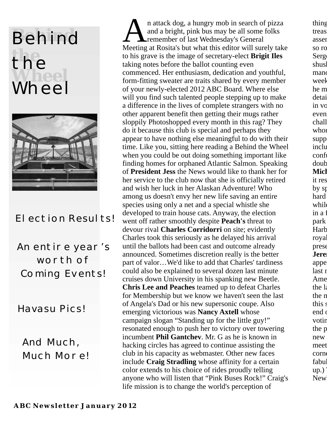## **Behind the** the<br>Wheel Wheel



Flection Results!

An entire year's worth of Coming Events!

Havasu Pics!

And Much, Much More!

n attack dog, a hungry mob in search of pizza thing<br>and a bright, pink bus may be all some folks treas<br>treasure it even those, like those, like treasure it even the some<br>search the some point of the point of the point of t Lremember of last Wednesday's General assembled care pizza and  $\alpha$ Meeting at Rosita's but what this editor will surely take so row to his grave is the image of secretary-elect **Brigit Iles** Sergent-Arms Sergeant-at-Arms skills to use them he did use them he did use them he did use them he did use them he did use them he did use them he did use them he taking notes before the ballot counting even shushing the crowd and restoring  $\epsilon$  shushing  $\epsilon$  shushing order so that mildcommenced. Her enthusiasm, dedication and youthful, manored finish suggesting finite for a contract for a contract for a contract for a contract for a contract for a contract for a contract for a contract for a contract fo form-fitting sweater are traits shared by every member week of your newly-elected 2012 ABC Board. Where else he m will you find such talented people stepping up to make details details would solve the Yahoo Group. a difference in the lives of complete strangers with no in vo other apparent benefit then getting their mugs rather even sloppily Photoshopped every month in this rag? They chall do it because this club is special and perhaps they whom who appear to have nothing else meaningful to do with their supp time. Like you, sitting here reading a Behind the Wheel inclu when you could be out doing something important like confused some into the confused some into the confused some seeing the confused some into the confused some set of the confused some seeing  $\alpha$ finding homes for orphaned Atlantic Salmon. Speaking double. of **President Jess** the News would like to thank her for **Mich** her service to the club now that she is officially retired it res and wish her luck in her Alaskan Adventure! Who by spouses by spouse and wish her luck in her Alaskan Adventure! Who among us doesn't envy her new life saving an entire hard species using only a net and a special whistle she while developed to train house cats. Anyway, the election in a fluorescent green Bay which are the sources or  $\alpha$ went off rather smoothly despite **Peach's** threat to park devour rival **Charles Corridorri** on site; evidently Harbor mistook it for a matrice existence and the matrice of a matrice existence and the matrice existence and the matrice existence and the matrice existence and the ma Charles took this seriously as he delayed his arrival royal until the ballots had been cast and outcome already presence (and looked dataannounced. Sometimes discretion really is the better **Jere** part of valor…We'd like to add that Charles' tardiness apper could also be explained to several dozen last minute last name to the great reference to the great reference to the great reference to the great reference to the great reference to the great reference to the great referenc cruises down University in his spanking new Beetle. Ame **Chris Lee and Peaches** teamed up to defeat Charles the latin for the latin for  $\alpha$ for Membership but we know we haven't seen the last the n of Angela's Dad or his new supersonic coupe. Also this studies emerging victorious was **Nancy Axtell** whose end one to the room of the room data room and  $\alpha$ campaign slogan "Standing up for the little guy!" voting resonated enough to push her to victory over towering the p incumbent **Phil Gantchev**. Mr. G as he is known in new hacking circles has agreed to continue assisting the meet club in his capacity as webmaster. Other new faces corner from Rosita's. We will say the interview for the interview for the interview for the interview for the interview for the interview for the interview for the intervi include **Craig Stradling** whose affinity for a certain fabulous fabulous  $\frac{1}{2}$ color extends to his choice of rides proudly telling up.) anyone who will listen that "Pink Buses Rock!" Craig's New life mission is to change the world's perception of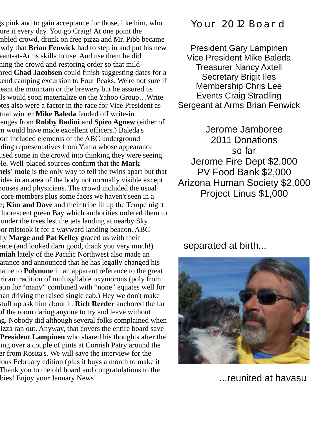r a pink and to gain acceptance for those, like him, who ure it every day. You go Craig! At one point the mbled crowd, drunk on free pizza and Mr. Pibb became wy that **Brian Fenwick** had to step in and put his new nbled crowd, drunk on free pizza and Mr. Pibb became wdy that Brian Fenwick had to step in and put his new the art-at-Arms skills to use. And use them he did hing the crowd and restoring order so that mildored **Chad Jacobsen** could finish suggesting dates for a kend camping excursion to Four Peaks. We're not sure if eant the mountain or the brewery but he assured us ls would soon materialize on the Yahoo Group…Write tes also were a factor in the race for Vice President as tual winner Mike Baleda fended off write-in enges from Robby Badini and Spiro Agnew (either of m would have made excellent officers.) Baleda's ort included elements of the ABC underground ding representatives from Yuma whose appearance used some in the crowd into thinking they were seeing file. Well-placed sources confirm that the Mark **President Jessify thank here** is the only way to tell the twins apart but that ides in an area of the body not normally visible except bouses and physicians. The crowd included the usual core members plus some faces we haven't seen in a e; **Kim and Dave** and their tribe lit up the Tempe night fluorescent green Bay which authorities ordered them to under the trees lest the jets landing at nearby Sky or mistook it for a wayward landing beacon. ABC Ity **Marge and Pat Kelley** graced us with their ence (and looked darn good, thank you very much!) miah lately of the Pacific Northwest also made an arance and announced that he has legally changed his name to **Polynone** in an apparent reference to the great rican tradition of multisyllable oxymorons (poly from atin for "many" combined with "none" equates well for han driving the raised single cab.) Hey we don't make stuff up ask him about it. **Rich Reeder** anchored the far of the room daring anyone to try and leave without g. Nobody did although several folks complained when resort allows to push here to push here to pay out. Anyway, that covers the entire board save **President Lampinen** who shared his thoughts after the ing over a couple of pints at Cornish Patry around the er from Rosita's. We will save the interview for the lous February edition (plus it buys a month to make it Thank you to the old board and congratulations to the bies! Enjoy your January News!

### Your 2012 Board

President Gary Lampinen Vice President Mike Baleda Treasurer Nancy Axtell Secretary Brigit Iles Membership Chris Lee Events Craig Stradling Sergeant at Arms Brian Fenwick

Jerome Jamboree 2011 Donations *so far* Jerome Fire Dept \$2,000 PV Food Bank \$2,000 Arizona Human Society \$2,000 Project Linus \$1,000

separated at birth...



...reunited at havasu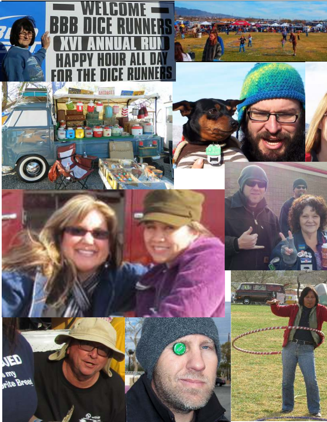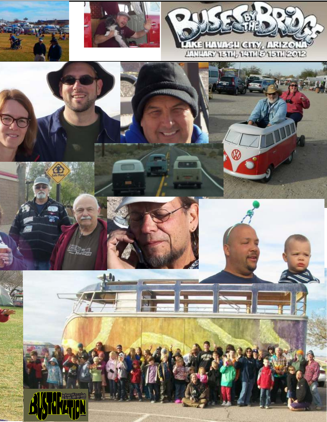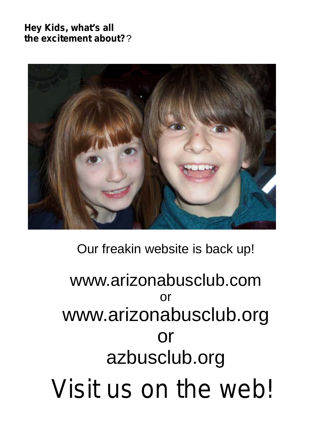*Hey Kids, what's all the excitement about?*?

![](_page_5_Picture_1.jpeg)

### Our freakin website is back up!

# www.arizonabusclub.com or www.arizonabusclub.org or azbusclub.org *Visit us on the web!*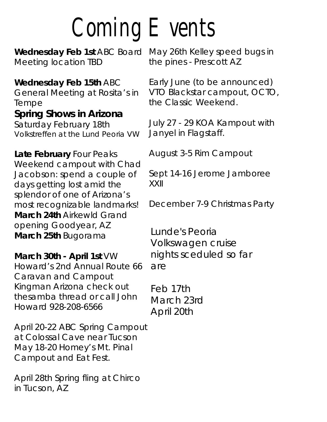# Coming Events

**Wednesday Feb 1st** ABC Board May 26th Kelley speed bugs in Meeting location TBD the pines - Prescott AZ

Wednesday Feb 15th ABC Early June (to be announced) Tempe **the Classic Weekend. Spring Shows in Arizona** Saturday February 18th July 27 - 29 KOA Kampout with<br>Volkstreffen at the Lund Peoria VW Janyel in Flagstaff. Volkstreffen at the Lund Peoria VW

Late February Four Peaks August 3-5 Rim Campout Weekend campout with Chad Jacobson: spend a couple of Sept 14-16 Jerome Jamboree days getting lost amid the XXII splendor of one of Arizona's most recognizable landmarks! December 7-9 Christmas Party **March 24th** Airkewld Grand opening Goodyear, AZ **March 25th** Bugorama

**March 30th - April 1st** VW Howard's 2nd Annual Route 66 Caravan and Campout Kingman Arizona check out thesamba thread or call John Howard 928-208-6566

April 20-22 ABC Spring Campout at Colossal Cave near Tucson May 18-20 Homey's Mt. Pinal Campout and Eat Fest.

April 28th Spring fling at Chirco in Tucson, AZ

General Meeting at Rosita's in VTO Blackstar campout, OCTO,

Lunde's Peoria Volkswagen cruise nights sceduled so far are

Feb 17th March 23rd April 20th